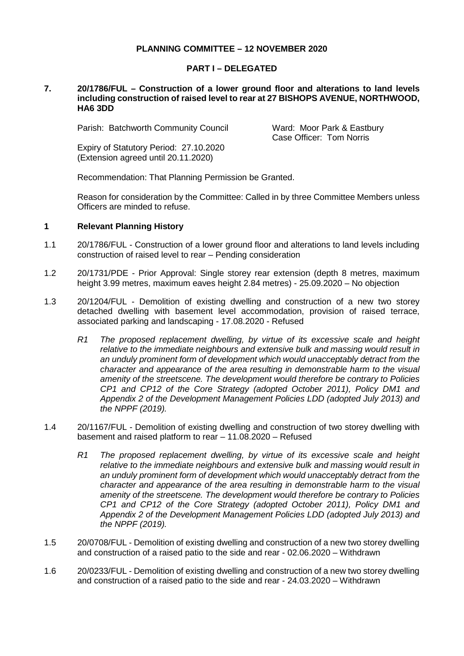## **PLANNING COMMITTEE – 12 NOVEMBER 2020**

### **PART I – DELEGATED**

#### **7. 20/1786/FUL – Construction of a lower ground floor and alterations to land levels including construction of raised level to rear at 27 BISHOPS AVENUE, NORTHWOOD, HA6 3DD**

Parish: Batchworth Community Council Ward: Moor Park & Eastbury

Case Officer: Tom Norris

Expiry of Statutory Period: 27.10.2020 (Extension agreed until 20.11.2020)

Recommendation: That Planning Permission be Granted.

Reason for consideration by the Committee: Called in by three Committee Members unless Officers are minded to refuse.

### **1 Relevant Planning History**

- 1.1 20/1786/FUL Construction of a lower ground floor and alterations to land levels including construction of raised level to rear – Pending consideration
- 1.2 20/1731/PDE Prior Approval: Single storey rear extension (depth 8 metres, maximum height 3.99 metres, maximum eaves height 2.84 metres) - 25.09.2020 – No objection
- 1.3 20/1204/FUL Demolition of existing dwelling and construction of a new two storey detached dwelling with basement level accommodation, provision of raised terrace, associated parking and landscaping - 17.08.2020 - Refused
	- *R1 The proposed replacement dwelling, by virtue of its excessive scale and height relative to the immediate neighbours and extensive bulk and massing would result in an unduly prominent form of development which would unacceptably detract from the character and appearance of the area resulting in demonstrable harm to the visual amenity of the streetscene. The development would therefore be contrary to Policies CP1 and CP12 of the Core Strategy (adopted October 2011), Policy DM1 and Appendix 2 of the Development Management Policies LDD (adopted July 2013) and the NPPF (2019).*
- 1.4 20/1167/FUL Demolition of existing dwelling and construction of two storey dwelling with basement and raised platform to rear – 11.08.2020 – Refused
	- *R1 The proposed replacement dwelling, by virtue of its excessive scale and height relative to the immediate neighbours and extensive bulk and massing would result in an unduly prominent form of development which would unacceptably detract from the character and appearance of the area resulting in demonstrable harm to the visual amenity of the streetscene. The development would therefore be contrary to Policies CP1 and CP12 of the Core Strategy (adopted October 2011), Policy DM1 and Appendix 2 of the Development Management Policies LDD (adopted July 2013) and the NPPF (2019).*
- 1.5 20/0708/FUL Demolition of existing dwelling and construction of a new two storey dwelling and construction of a raised patio to the side and rear - 02.06.2020 – Withdrawn
- 1.6 20/0233/FUL Demolition of existing dwelling and construction of a new two storey dwelling and construction of a raised patio to the side and rear - 24.03.2020 – Withdrawn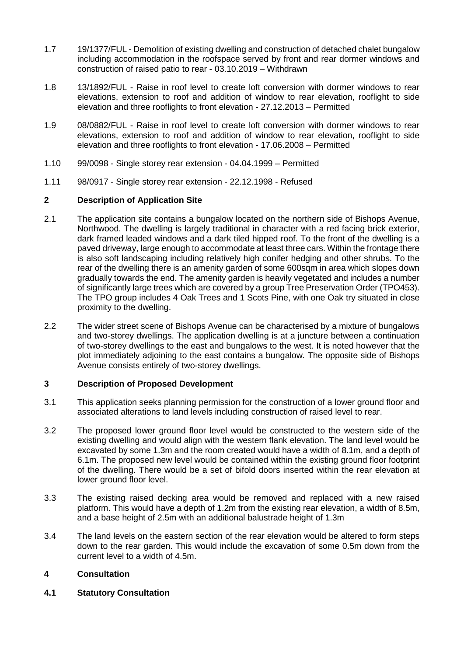- 1.7 19/1377/FUL Demolition of existing dwelling and construction of detached chalet bungalow including accommodation in the roofspace served by front and rear dormer windows and construction of raised patio to rear - 03.10.2019 – Withdrawn
- 1.8 13/1892/FUL Raise in roof level to create loft conversion with dormer windows to rear elevations, extension to roof and addition of window to rear elevation, rooflight to side elevation and three rooflights to front elevation - 27.12.2013 – Permitted
- 1.9 08/0882/FUL Raise in roof level to create loft conversion with dormer windows to rear elevations, extension to roof and addition of window to rear elevation, rooflight to side elevation and three rooflights to front elevation - 17.06.2008 – Permitted
- 1.10 99/0098 Single storey rear extension 04.04.1999 Permitted
- 1.11 98/0917 Single storey rear extension 22.12.1998 Refused

# **2 Description of Application Site**

- 2.1 The application site contains a bungalow located on the northern side of Bishops Avenue, Northwood. The dwelling is largely traditional in character with a red facing brick exterior, dark framed leaded windows and a dark tiled hipped roof. To the front of the dwelling is a paved driveway, large enough to accommodate at least three cars. Within the frontage there is also soft landscaping including relatively high conifer hedging and other shrubs. To the rear of the dwelling there is an amenity garden of some 600sqm in area which slopes down gradually towards the end. The amenity garden is heavily vegetated and includes a number of significantly large trees which are covered by a group Tree Preservation Order (TPO453). The TPO group includes 4 Oak Trees and 1 Scots Pine, with one Oak try situated in close proximity to the dwelling.
- 2.2 The wider street scene of Bishops Avenue can be characterised by a mixture of bungalows and two-storey dwellings. The application dwelling is at a juncture between a continuation of two-storey dwellings to the east and bungalows to the west. It is noted however that the plot immediately adjoining to the east contains a bungalow. The opposite side of Bishops Avenue consists entirely of two-storey dwellings.

## **3 Description of Proposed Development**

- 3.1 This application seeks planning permission for the construction of a lower ground floor and associated alterations to land levels including construction of raised level to rear.
- 3.2 The proposed lower ground floor level would be constructed to the western side of the existing dwelling and would align with the western flank elevation. The land level would be excavated by some 1.3m and the room created would have a width of 8.1m, and a depth of 6.1m. The proposed new level would be contained within the existing ground floor footprint of the dwelling. There would be a set of bifold doors inserted within the rear elevation at lower ground floor level.
- 3.3 The existing raised decking area would be removed and replaced with a new raised platform. This would have a depth of 1.2m from the existing rear elevation, a width of 8.5m, and a base height of 2.5m with an additional balustrade height of 1.3m
- 3.4 The land levels on the eastern section of the rear elevation would be altered to form steps down to the rear garden. This would include the excavation of some 0.5m down from the current level to a width of 4.5m.

## **4 Consultation**

**4.1 Statutory Consultation**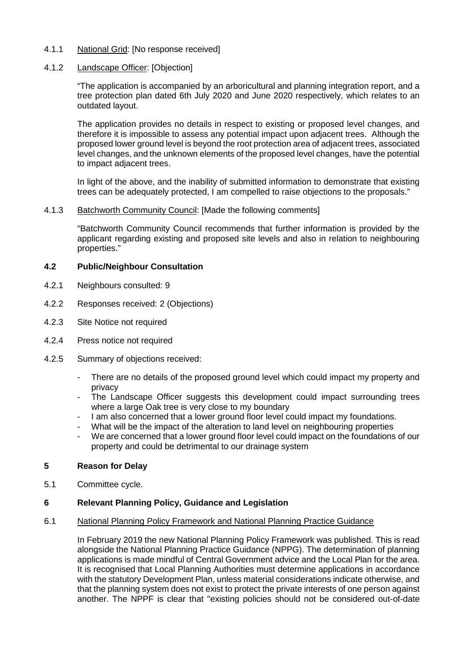- 4.1.1 National Grid: [No response received]
- 4.1.2 Landscape Officer: [Objection]

"The application is accompanied by an arboricultural and planning integration report, and a tree protection plan dated 6th July 2020 and June 2020 respectively, which relates to an outdated layout.

The application provides no details in respect to existing or proposed level changes, and therefore it is impossible to assess any potential impact upon adjacent trees. Although the proposed lower ground level is beyond the root protection area of adjacent trees, associated level changes, and the unknown elements of the proposed level changes, have the potential to impact adjacent trees.

In light of the above, and the inability of submitted information to demonstrate that existing trees can be adequately protected, I am compelled to raise objections to the proposals."

### 4.1.3 Batchworth Community Council: [Made the following comments]

"Batchworth Community Council recommends that further information is provided by the applicant regarding existing and proposed site levels and also in relation to neighbouring properties."

### **4.2 Public/Neighbour Consultation**

- 4.2.1 Neighbours consulted: 9
- 4.2.2 Responses received: 2 (Objections)
- 4.2.3 Site Notice not required
- 4.2.4 Press notice not required
- 4.2.5 Summary of objections received:
	- There are no details of the proposed ground level which could impact my property and privacy
	- The Landscape Officer suggests this development could impact surrounding trees where a large Oak tree is very close to my boundary
	- I am also concerned that a lower ground floor level could impact my foundations.
	- What will be the impact of the alteration to land level on neighbouring properties
	- We are concerned that a lower ground floor level could impact on the foundations of our property and could be detrimental to our drainage system

### **5 Reason for Delay**

5.1 Committee cycle.

### **6 Relevant Planning Policy, Guidance and Legislation**

### 6.1 National Planning Policy Framework and National Planning Practice Guidance

In February 2019 the new National Planning Policy Framework was published. This is read alongside the National Planning Practice Guidance (NPPG). The determination of planning applications is made mindful of Central Government advice and the Local Plan for the area. It is recognised that Local Planning Authorities must determine applications in accordance with the statutory Development Plan, unless material considerations indicate otherwise, and that the planning system does not exist to protect the private interests of one person against another. The NPPF is clear that "existing policies should not be considered out-of-date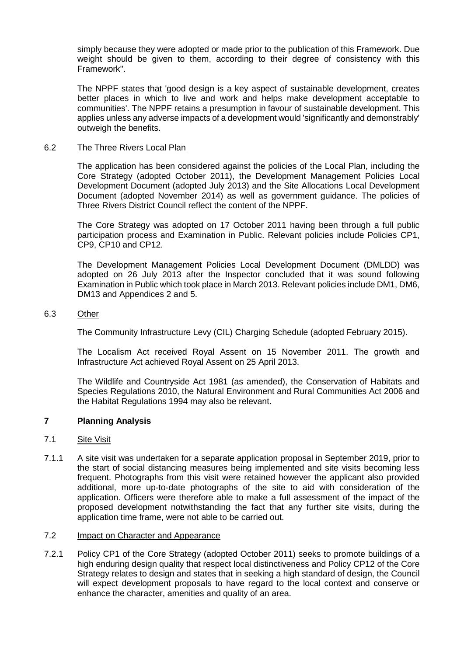simply because they were adopted or made prior to the publication of this Framework. Due weight should be given to them, according to their degree of consistency with this Framework".

The NPPF states that 'good design is a key aspect of sustainable development, creates better places in which to live and work and helps make development acceptable to communities'. The NPPF retains a presumption in favour of sustainable development. This applies unless any adverse impacts of a development would 'significantly and demonstrably' outweigh the benefits.

### 6.2 The Three Rivers Local Plan

The application has been considered against the policies of the Local Plan, including the Core Strategy (adopted October 2011), the Development Management Policies Local Development Document (adopted July 2013) and the Site Allocations Local Development Document (adopted November 2014) as well as government guidance. The policies of Three Rivers District Council reflect the content of the NPPF.

The Core Strategy was adopted on 17 October 2011 having been through a full public participation process and Examination in Public. Relevant policies include Policies CP1, CP9, CP10 and CP12.

The Development Management Policies Local Development Document (DMLDD) was adopted on 26 July 2013 after the Inspector concluded that it was sound following Examination in Public which took place in March 2013. Relevant policies include DM1, DM6, DM13 and Appendices 2 and 5.

### 6.3 Other

The Community Infrastructure Levy (CIL) Charging Schedule (adopted February 2015).

The Localism Act received Royal Assent on 15 November 2011. The growth and Infrastructure Act achieved Royal Assent on 25 April 2013.

The Wildlife and Countryside Act 1981 (as amended), the Conservation of Habitats and Species Regulations 2010, the Natural Environment and Rural Communities Act 2006 and the Habitat Regulations 1994 may also be relevant.

## **7 Planning Analysis**

### 7.1 Site Visit

7.1.1 A site visit was undertaken for a separate application proposal in September 2019, prior to the start of social distancing measures being implemented and site visits becoming less frequent. Photographs from this visit were retained however the applicant also provided additional, more up-to-date photographs of the site to aid with consideration of the application. Officers were therefore able to make a full assessment of the impact of the proposed development notwithstanding the fact that any further site visits, during the application time frame, were not able to be carried out.

### 7.2 Impact on Character and Appearance

7.2.1 Policy CP1 of the Core Strategy (adopted October 2011) seeks to promote buildings of a high enduring design quality that respect local distinctiveness and Policy CP12 of the Core Strategy relates to design and states that in seeking a high standard of design, the Council will expect development proposals to have regard to the local context and conserve or enhance the character, amenities and quality of an area.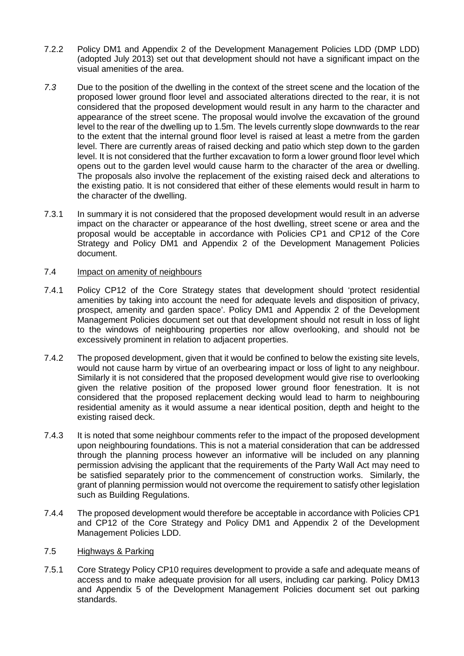- 7.2.2 Policy DM1 and Appendix 2 of the Development Management Policies LDD (DMP LDD) (adopted July 2013) set out that development should not have a significant impact on the visual amenities of the area.
- *7.3* Due to the position of the dwelling in the context of the street scene and the location of the proposed lower ground floor level and associated alterations directed to the rear, it is not considered that the proposed development would result in any harm to the character and appearance of the street scene. The proposal would involve the excavation of the ground level to the rear of the dwelling up to 1.5m. The levels currently slope downwards to the rear to the extent that the internal ground floor level is raised at least a metre from the garden level. There are currently areas of raised decking and patio which step down to the garden level. It is not considered that the further excavation to form a lower ground floor level which opens out to the garden level would cause harm to the character of the area or dwelling. The proposals also involve the replacement of the existing raised deck and alterations to the existing patio. It is not considered that either of these elements would result in harm to the character of the dwelling.
- 7.3.1 In summary it is not considered that the proposed development would result in an adverse impact on the character or appearance of the host dwelling, street scene or area and the proposal would be acceptable in accordance with Policies CP1 and CP12 of the Core Strategy and Policy DM1 and Appendix 2 of the Development Management Policies document.

### 7.4 Impact on amenity of neighbours

- 7.4.1 Policy CP12 of the Core Strategy states that development should 'protect residential amenities by taking into account the need for adequate levels and disposition of privacy, prospect, amenity and garden space'. Policy DM1 and Appendix 2 of the Development Management Policies document set out that development should not result in loss of light to the windows of neighbouring properties nor allow overlooking, and should not be excessively prominent in relation to adjacent properties.
- 7.4.2 The proposed development, given that it would be confined to below the existing site levels, would not cause harm by virtue of an overbearing impact or loss of light to any neighbour. Similarly it is not considered that the proposed development would give rise to overlooking given the relative position of the proposed lower ground floor fenestration. It is not considered that the proposed replacement decking would lead to harm to neighbouring residential amenity as it would assume a near identical position, depth and height to the existing raised deck.
- 7.4.3 It is noted that some neighbour comments refer to the impact of the proposed development upon neighbouring foundations. This is not a material consideration that can be addressed through the planning process however an informative will be included on any planning permission advising the applicant that the requirements of the Party Wall Act may need to be satisfied separately prior to the commencement of construction works. Similarly, the grant of planning permission would not overcome the requirement to satisfy other legislation such as Building Regulations.
- 7.4.4 The proposed development would therefore be acceptable in accordance with Policies CP1 and CP12 of the Core Strategy and Policy DM1 and Appendix 2 of the Development Management Policies LDD.

## 7.5 Highways & Parking

7.5.1 Core Strategy Policy CP10 requires development to provide a safe and adequate means of access and to make adequate provision for all users, including car parking. Policy DM13 and Appendix 5 of the Development Management Policies document set out parking standards.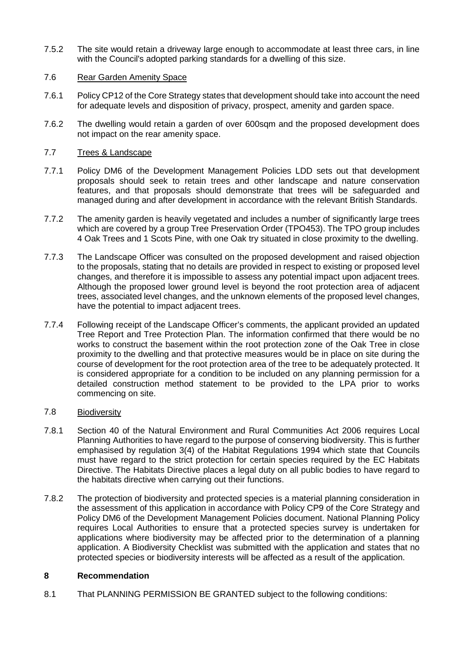7.5.2 The site would retain a driveway large enough to accommodate at least three cars, in line with the Council's adopted parking standards for a dwelling of this size.

## 7.6 Rear Garden Amenity Space

- 7.6.1 Policy CP12 of the Core Strategy states that development should take into account the need for adequate levels and disposition of privacy, prospect, amenity and garden space.
- 7.6.2 The dwelling would retain a garden of over 600sqm and the proposed development does not impact on the rear amenity space.

## 7.7 Trees & Landscape

- 7.7.1 Policy DM6 of the Development Management Policies LDD sets out that development proposals should seek to retain trees and other landscape and nature conservation features, and that proposals should demonstrate that trees will be safeguarded and managed during and after development in accordance with the relevant British Standards.
- 7.7.2 The amenity garden is heavily vegetated and includes a number of significantly large trees which are covered by a group Tree Preservation Order (TPO453). The TPO group includes 4 Oak Trees and 1 Scots Pine, with one Oak try situated in close proximity to the dwelling.
- 7.7.3 The Landscape Officer was consulted on the proposed development and raised objection to the proposals, stating that no details are provided in respect to existing or proposed level changes, and therefore it is impossible to assess any potential impact upon adjacent trees. Although the proposed lower ground level is beyond the root protection area of adjacent trees, associated level changes, and the unknown elements of the proposed level changes, have the potential to impact adjacent trees.
- 7.7.4 Following receipt of the Landscape Officer's comments, the applicant provided an updated Tree Report and Tree Protection Plan. The information confirmed that there would be no works to construct the basement within the root protection zone of the Oak Tree in close proximity to the dwelling and that protective measures would be in place on site during the course of development for the root protection area of the tree to be adequately protected. It is considered appropriate for a condition to be included on any planning permission for a detailed construction method statement to be provided to the LPA prior to works commencing on site.

### 7.8 Biodiversity

- 7.8.1 Section 40 of the Natural Environment and Rural Communities Act 2006 requires Local Planning Authorities to have regard to the purpose of conserving biodiversity. This is further emphasised by regulation 3(4) of the Habitat Regulations 1994 which state that Councils must have regard to the strict protection for certain species required by the EC Habitats Directive. The Habitats Directive places a legal duty on all public bodies to have regard to the habitats directive when carrying out their functions.
- 7.8.2 The protection of biodiversity and protected species is a material planning consideration in the assessment of this application in accordance with Policy CP9 of the Core Strategy and Policy DM6 of the Development Management Policies document. National Planning Policy requires Local Authorities to ensure that a protected species survey is undertaken for applications where biodiversity may be affected prior to the determination of a planning application. A Biodiversity Checklist was submitted with the application and states that no protected species or biodiversity interests will be affected as a result of the application.

## **8 Recommendation**

8.1 That PLANNING PERMISSION BE GRANTED subject to the following conditions: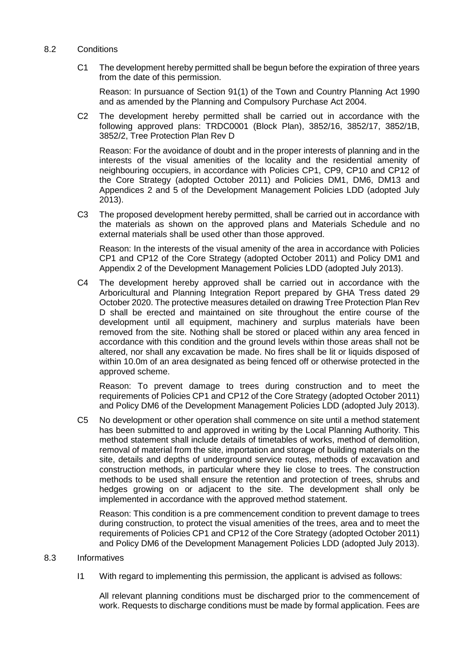- 8.2 Conditions
	- C1 The development hereby permitted shall be begun before the expiration of three years from the date of this permission.

Reason: In pursuance of Section 91(1) of the Town and Country Planning Act 1990 and as amended by the Planning and Compulsory Purchase Act 2004.

C2 The development hereby permitted shall be carried out in accordance with the following approved plans: TRDC0001 (Block Plan), 3852/16, 3852/17, 3852/1B, 3852/2, Tree Protection Plan Rev D

Reason: For the avoidance of doubt and in the proper interests of planning and in the interests of the visual amenities of the locality and the residential amenity of neighbouring occupiers, in accordance with Policies CP1, CP9, CP10 and CP12 of the Core Strategy (adopted October 2011) and Policies DM1, DM6, DM13 and Appendices 2 and 5 of the Development Management Policies LDD (adopted July 2013).

C3 The proposed development hereby permitted, shall be carried out in accordance with the materials as shown on the approved plans and Materials Schedule and no external materials shall be used other than those approved.

Reason: In the interests of the visual amenity of the area in accordance with Policies CP1 and CP12 of the Core Strategy (adopted October 2011) and Policy DM1 and Appendix 2 of the Development Management Policies LDD (adopted July 2013).

C4 The development hereby approved shall be carried out in accordance with the Arboricultural and Planning Integration Report prepared by GHA Tress dated 29 October 2020. The protective measures detailed on drawing Tree Protection Plan Rev D shall be erected and maintained on site throughout the entire course of the development until all equipment, machinery and surplus materials have been removed from the site. Nothing shall be stored or placed within any area fenced in accordance with this condition and the ground levels within those areas shall not be altered, nor shall any excavation be made. No fires shall be lit or liquids disposed of within 10.0m of an area designated as being fenced off or otherwise protected in the approved scheme.

Reason: To prevent damage to trees during construction and to meet the requirements of Policies CP1 and CP12 of the Core Strategy (adopted October 2011) and Policy DM6 of the Development Management Policies LDD (adopted July 2013).

C5 No development or other operation shall commence on site until a method statement has been submitted to and approved in writing by the Local Planning Authority. This method statement shall include details of timetables of works, method of demolition, removal of material from the site, importation and storage of building materials on the site, details and depths of underground service routes, methods of excavation and construction methods, in particular where they lie close to trees. The construction methods to be used shall ensure the retention and protection of trees, shrubs and hedges growing on or adjacent to the site. The development shall only be implemented in accordance with the approved method statement.

Reason: This condition is a pre commencement condition to prevent damage to trees during construction, to protect the visual amenities of the trees, area and to meet the requirements of Policies CP1 and CP12 of the Core Strategy (adopted October 2011) and Policy DM6 of the Development Management Policies LDD (adopted July 2013).

### 8.3 Informatives

I1 With regard to implementing this permission, the applicant is advised as follows:

All relevant planning conditions must be discharged prior to the commencement of work. Requests to discharge conditions must be made by formal application. Fees are